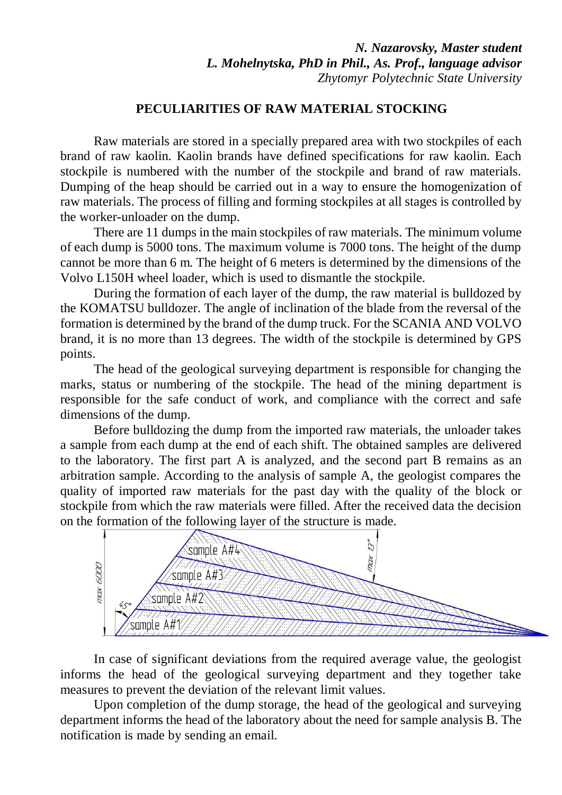*N. Nazarovsky, Master student L. Mohelnytska, PhD in Phil., As. Prof., language advisor Zhytomyr Polytechnic State University*

## **PECULIARITIES OF RAW MATERIAL STOCKING**

Raw materials are stored in a specially prepared area with two stockpiles of each brand of raw kaolin. Kaolin brands have defined specifications for raw kaolin. Each stockpile is numbered with the number of the stockpile and brand of raw materials. Dumping of the heap should be carried out in a way to ensure the homogenization of raw materials. The process of filling and forming stockpiles at all stages is controlled by the worker-unloader on the dump.

There are 11 dumps in the main stockpiles of raw materials. The minimum volume of each dump is 5000 tons. The maximum volume is 7000 tons. The height of the dump cannot be more than 6 m. The height of 6 meters is determined by the dimensions of the Volvo L150H wheel loader, which is used to dismantle the stockpile.

During the formation of each layer of the dump, the raw material is bulldozed by the KOMATSU bulldozer. The angle of inclination of the blade from the reversal of the formation is determined by the brand of the dump truck. For the SCANIA AND VOLVO brand, it is no more than 13 degrees. The width of the stockpile is determined by GPS points.

The head of the geological surveying department is responsible for changing the marks, status or numbering of the stockpile. The head of the mining department is responsible for the safe conduct of work, and compliance with the correct and safe dimensions of the dump.

Before bulldozing the dump from the imported raw materials, the unloader takes a sample from each dump at the end of each shift. The obtained samples are delivered to the laboratory. The first part A is analyzed, and the second part B remains as an arbitration sample. According to the analysis of sample A, the geologist compares the quality of imported raw materials for the past day with the quality of the block or stockpile from which the raw materials were filled. After the received data the decision on the formation of the following layer of the structure is made.



In case of significant deviations from the required average value, the geologist informs the head of the geological surveying department and they together take measures to prevent the deviation of the relevant limit values.

Upon completion of the dump storage, the head of the geological and surveying department informs the head of the laboratory about the need for sample analysis B. The notification is made by sending an email.